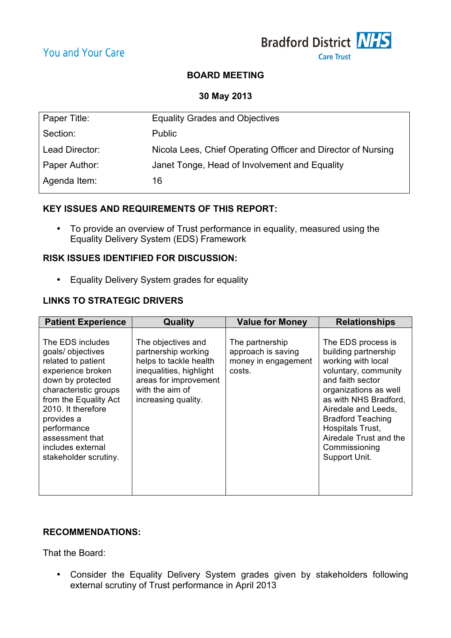

# **BOARD MEETING**

**30 May 2013**

| Paper Title:   | <b>Equality Grades and Objectives</b>                        |
|----------------|--------------------------------------------------------------|
| Section:       | <b>Public</b>                                                |
| Lead Director: | Nicola Lees, Chief Operating Officer and Director of Nursing |
| Paper Author:  | Janet Tonge, Head of Involvement and Equality                |
| Agenda Item:   | 16                                                           |
|                |                                                              |

## **KEY ISSUES AND REQUIREMENTS OF THIS REPORT:**

• To provide an overview of Trust performance in equality, measured using the Equality Delivery System (EDS) Framework

### **RISK ISSUES IDENTIFIED FOR DISCUSSION:**

• Equality Delivery System grades for equality

# **LINKS TO STRATEGIC DRIVERS**

| <b>Patient Experience</b>                                                                                                                                                                                                                                                   | Quality                                                                                                                                                           | <b>Value for Money</b>                                                 | <b>Relationships</b>                                                                                                                                                                                                                                                                              |
|-----------------------------------------------------------------------------------------------------------------------------------------------------------------------------------------------------------------------------------------------------------------------------|-------------------------------------------------------------------------------------------------------------------------------------------------------------------|------------------------------------------------------------------------|---------------------------------------------------------------------------------------------------------------------------------------------------------------------------------------------------------------------------------------------------------------------------------------------------|
| The EDS includes<br>goals/ objectives<br>related to patient<br>experience broken<br>down by protected<br>characteristic groups<br>from the Equality Act<br>2010. It therefore<br>provides a<br>performance<br>assessment that<br>includes external<br>stakeholder scrutiny. | The objectives and<br>partnership working<br>helps to tackle health<br>inequalities, highlight<br>areas for improvement<br>with the aim of<br>increasing quality. | The partnership<br>approach is saving<br>money in engagement<br>costs. | The EDS process is<br>building partnership<br>working with local<br>voluntary, community<br>and faith sector<br>organizations as well<br>as with NHS Bradford,<br>Airedale and Leeds,<br><b>Bradford Teaching</b><br>Hospitals Trust,<br>Airedale Trust and the<br>Commissioning<br>Support Unit. |

# **RECOMMENDATIONS:**

That the Board:

• Consider the Equality Delivery System grades given by stakeholders following external scrutiny of Trust performance in April 2013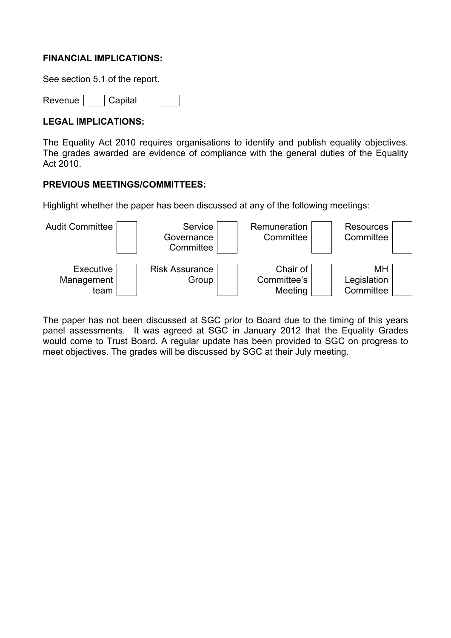## **FINANCIAL IMPLICATIONS:**

See section 5.1 of the report.

Revenue | Capital

## **LEGAL IMPLICATIONS:**

The Equality Act 2010 requires organisations to identify and publish equality objectives. The grades awarded are evidence of compliance with the general duties of the Equality Act 2010.

## **PREVIOUS MEETINGS/COMMITTEES:**

Highlight whether the paper has been discussed at any of the following meetings:



The paper has not been discussed at SGC prior to Board due to the timing of this years panel assessments. It was agreed at SGC in January 2012 that the Equality Grades would come to Trust Board. A regular update has been provided to SGC on progress to meet objectives. The grades will be discussed by SGC at their July meeting.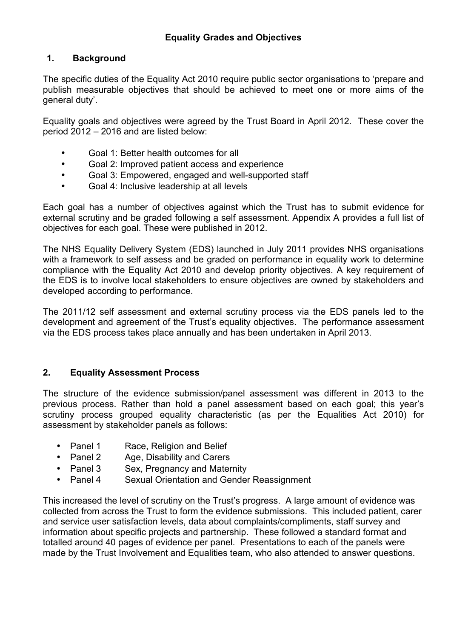# **1. Background**

The specific duties of the Equality Act 2010 require public sector organisations to 'prepare and publish measurable objectives that should be achieved to meet one or more aims of the general duty'.

Equality goals and objectives were agreed by the Trust Board in April 2012. These cover the period 2012 – 2016 and are listed below:

- Goal 1: Better health outcomes for all
- Goal 2: Improved patient access and experience
- Goal 3: Empowered, engaged and well-supported staff
- Goal 4: Inclusive leadership at all levels

Each goal has a number of objectives against which the Trust has to submit evidence for external scrutiny and be graded following a self assessment. Appendix A provides a full list of objectives for each goal. These were published in 2012.

The NHS Equality Delivery System (EDS) launched in July 2011 provides NHS organisations with a framework to self assess and be graded on performance in equality work to determine compliance with the Equality Act 2010 and develop priority objectives. A key requirement of the EDS is to involve local stakeholders to ensure objectives are owned by stakeholders and developed according to performance.

The 2011/12 self assessment and external scrutiny process via the EDS panels led to the development and agreement of the Trust's equality objectives. The performance assessment via the EDS process takes place annually and has been undertaken in April 2013.

# **2. Equality Assessment Process**

The structure of the evidence submission/panel assessment was different in 2013 to the previous process. Rather than hold a panel assessment based on each goal; this year's scrutiny process grouped equality characteristic (as per the Equalities Act 2010) for assessment by stakeholder panels as follows:

- Panel 1 Race, Religion and Belief
- Panel 2 Age, Disability and Carers
- Panel 3 Sex, Pregnancy and Maternity
- Panel 4 Sexual Orientation and Gender Reassignment

This increased the level of scrutiny on the Trust's progress. A large amount of evidence was collected from across the Trust to form the evidence submissions. This included patient, carer and service user satisfaction levels, data about complaints/compliments, staff survey and information about specific projects and partnership. These followed a standard format and totalled around 40 pages of evidence per panel. Presentations to each of the panels were made by the Trust Involvement and Equalities team, who also attended to answer questions.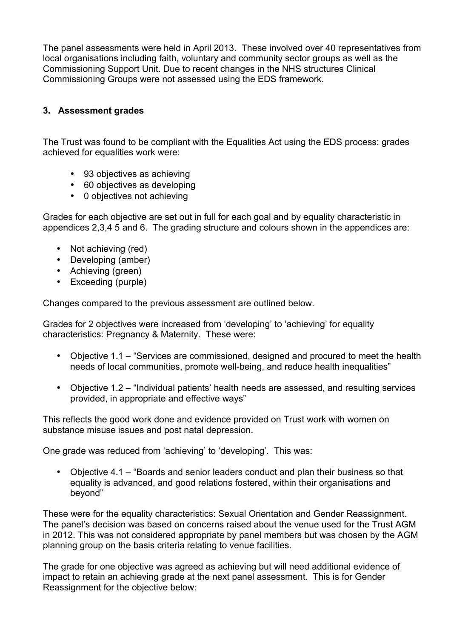The panel assessments were held in April 2013. These involved over 40 representatives from local organisations including faith, voluntary and community sector groups as well as the Commissioning Support Unit. Due to recent changes in the NHS structures Clinical Commissioning Groups were not assessed using the EDS framework.

# **3. Assessment grades**

The Trust was found to be compliant with the Equalities Act using the EDS process: grades achieved for equalities work were:

- 93 objectives as achieving
- 60 objectives as developing
- 0 objectives not achieving

Grades for each objective are set out in full for each goal and by equality characteristic in appendices 2,3,4 5 and 6. The grading structure and colours shown in the appendices are:

- Not achieving (red)
- Developing (amber)
- Achieving (green)
- Exceeding (purple)

Changes compared to the previous assessment are outlined below.

Grades for 2 objectives were increased from 'developing' to 'achieving' for equality characteristics: Pregnancy & Maternity. These were:

- Objective 1.1 "Services are commissioned, designed and procured to meet the health needs of local communities, promote well-being, and reduce health inequalities"
- Objective 1.2 "Individual patients' health needs are assessed, and resulting services provided, in appropriate and effective ways"

This reflects the good work done and evidence provided on Trust work with women on substance misuse issues and post natal depression.

One grade was reduced from 'achieving' to 'developing'. This was:

• Objective 4.1 – "Boards and senior leaders conduct and plan their business so that equality is advanced, and good relations fostered, within their organisations and beyond"

These were for the equality characteristics: Sexual Orientation and Gender Reassignment. The panel's decision was based on concerns raised about the venue used for the Trust AGM in 2012. This was not considered appropriate by panel members but was chosen by the AGM planning group on the basis criteria relating to venue facilities.

The grade for one objective was agreed as achieving but will need additional evidence of impact to retain an achieving grade at the next panel assessment. This is for Gender Reassignment for the objective below: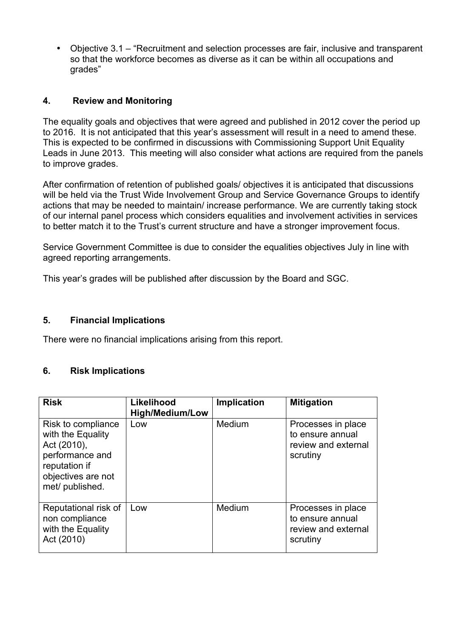• Objective 3.1 – "Recruitment and selection processes are fair, inclusive and transparent so that the workforce becomes as diverse as it can be within all occupations and grades"

# **4. Review and Monitoring**

The equality goals and objectives that were agreed and published in 2012 cover the period up to 2016. It is not anticipated that this year's assessment will result in a need to amend these. This is expected to be confirmed in discussions with Commissioning Support Unit Equality Leads in June 2013. This meeting will also consider what actions are required from the panels to improve grades.

After confirmation of retention of published goals/ objectives it is anticipated that discussions will be held via the Trust Wide Involvement Group and Service Governance Groups to identify actions that may be needed to maintain/ increase performance. We are currently taking stock of our internal panel process which considers equalities and involvement activities in services to better match it to the Trust's current structure and have a stronger improvement focus.

Service Government Committee is due to consider the equalities objectives July in line with agreed reporting arrangements.

This year's grades will be published after discussion by the Board and SGC.

### **5. Financial Implications**

There were no financial implications arising from this report.

### **6. Risk Implications**

| <b>Risk</b>                                                                                                                         | Likelihood<br><b>High/Medium/Low</b> | <b>Implication</b> | <b>Mitigation</b>                                                         |
|-------------------------------------------------------------------------------------------------------------------------------------|--------------------------------------|--------------------|---------------------------------------------------------------------------|
| Risk to compliance<br>with the Equality<br>Act (2010),<br>performance and<br>reputation if<br>objectives are not<br>met/ published. | Low                                  | Medium             | Processes in place<br>to ensure annual<br>review and external<br>scrutiny |
| Reputational risk of<br>non compliance<br>with the Equality<br>Act (2010)                                                           | Low                                  | Medium             | Processes in place<br>to ensure annual<br>review and external<br>scrutiny |